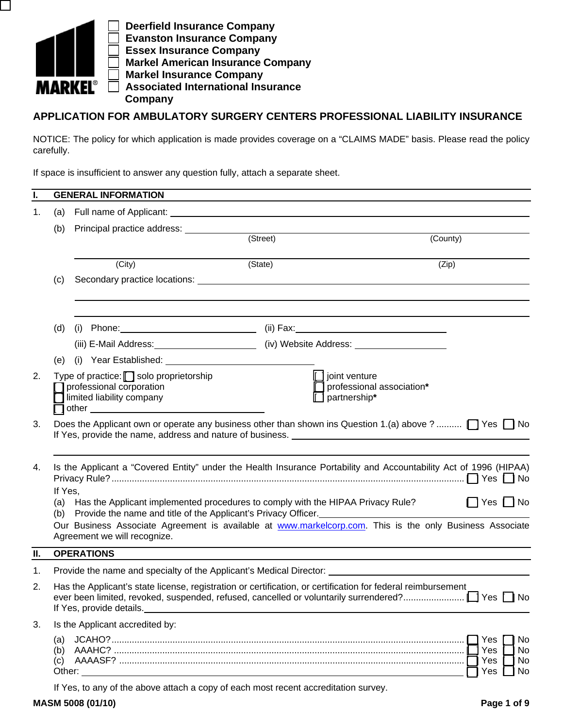

 **Deerfield Insurance Company Evanston Insurance Company Essex Insurance Company Markel American Insurance Company Markel Insurance Company Associated International Insurance Company**

# **APPLICATION FOR AMBULATORY SURGERY CENTERS PROFESSIONAL LIABILITY INSURANCE**

NOTICE: The policy for which application is made provides coverage on a "CLAIMS MADE" basis. Please read the policy carefully.

If space is insufficient to answer any question fully, attach a separate sheet.

| L. |                   | <b>GENERAL INFORMATION</b>                                                                                                                                                                                                    |         |                                                                                                                                                                                                                                                           |  |  |  |  |
|----|-------------------|-------------------------------------------------------------------------------------------------------------------------------------------------------------------------------------------------------------------------------|---------|-----------------------------------------------------------------------------------------------------------------------------------------------------------------------------------------------------------------------------------------------------------|--|--|--|--|
| 1. | (a)               |                                                                                                                                                                                                                               |         |                                                                                                                                                                                                                                                           |  |  |  |  |
|    | (b)               |                                                                                                                                                                                                                               |         |                                                                                                                                                                                                                                                           |  |  |  |  |
|    |                   | Principal practice address: (Street)                                                                                                                                                                                          |         | (County)                                                                                                                                                                                                                                                  |  |  |  |  |
|    |                   | (City)                                                                                                                                                                                                                        | (State) | (Zip)                                                                                                                                                                                                                                                     |  |  |  |  |
|    | (c)               |                                                                                                                                                                                                                               |         |                                                                                                                                                                                                                                                           |  |  |  |  |
|    | (d)               |                                                                                                                                                                                                                               |         |                                                                                                                                                                                                                                                           |  |  |  |  |
|    |                   |                                                                                                                                                                                                                               |         |                                                                                                                                                                                                                                                           |  |  |  |  |
|    |                   | (e) (i) Year Established: (a) The Contract of the Contract of the Contract of the Contract of the Contract of the Contract of the Contract of the Contract of the Contract of the Contract of the Contract of the Contract of |         |                                                                                                                                                                                                                                                           |  |  |  |  |
| 2. |                   | Type of practice: $\Box$ solo proprietorship<br>professional corporation<br>limited liability company                                                                                                                         |         | joint venture<br>professional association*<br>partnership*                                                                                                                                                                                                |  |  |  |  |
| 3. |                   |                                                                                                                                                                                                                               |         | Does the Applicant own or operate any business other than shown ins Question 1.(a) above ? $\Box$ Yes $\Box$ No<br>If Yes, provide the name, address and nature of business. [1] The manuscript of Nes, provide the name, address and nature of business. |  |  |  |  |
| 4. |                   |                                                                                                                                                                                                                               |         | Is the Applicant a "Covered Entity" under the Health Insurance Portability and Accountability Act of 1996 (HIPAA)                                                                                                                                         |  |  |  |  |
|    |                   | If Yes,<br>$\Box$ Yes $\Box$ No<br>(a) Has the Applicant implemented procedures to comply with the HIPAA Privacy Rule?<br>(b) Provide the name and title of the Applicant's Privacy Officer.                                  |         |                                                                                                                                                                                                                                                           |  |  |  |  |
|    |                   | Agreement we will recognize.                                                                                                                                                                                                  |         | Our Business Associate Agreement is available at www.markelcorp.com. This is the only Business Associate                                                                                                                                                  |  |  |  |  |
| П. |                   | <b>OPERATIONS</b>                                                                                                                                                                                                             |         |                                                                                                                                                                                                                                                           |  |  |  |  |
| 1. |                   |                                                                                                                                                                                                                               |         | Provide the name and specialty of the Applicant's Medical Director: ________________________________                                                                                                                                                      |  |  |  |  |
| 2. |                   | Has the Applicant's state license, registration or certification, or certification for federal reimbursement<br>If Yes, provide details.                                                                                      |         |                                                                                                                                                                                                                                                           |  |  |  |  |
| 3. |                   | Is the Applicant accredited by:                                                                                                                                                                                               |         |                                                                                                                                                                                                                                                           |  |  |  |  |
|    | (a)<br>(b)<br>(c) |                                                                                                                                                                                                                               |         | Yes<br>No<br>Yes<br>No.<br>Yes<br>No<br>Yes<br>No                                                                                                                                                                                                         |  |  |  |  |
|    |                   | If Yes, to any of the above attach a copy of each most recent accreditation survey.                                                                                                                                           |         |                                                                                                                                                                                                                                                           |  |  |  |  |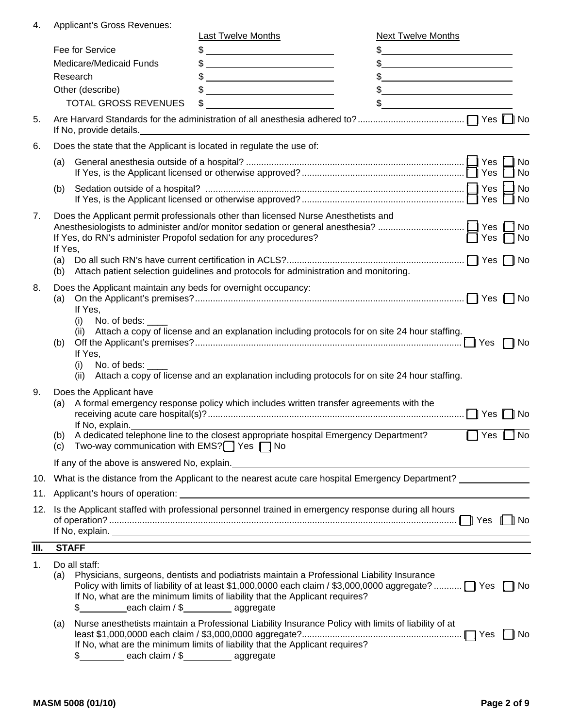4. Applicant's Gross Revenues:

|      |                         |                                                                                                 | <b>Last Twelve Months</b>                                                                                                                                                            | <b>Next Twelve Months</b>                                                                                                                                                                                                                                                                                           |
|------|-------------------------|-------------------------------------------------------------------------------------------------|--------------------------------------------------------------------------------------------------------------------------------------------------------------------------------------|---------------------------------------------------------------------------------------------------------------------------------------------------------------------------------------------------------------------------------------------------------------------------------------------------------------------|
|      | Fee for Service         |                                                                                                 | $\frac{1}{2}$                                                                                                                                                                        | $\frac{1}{2}$ $\frac{1}{2}$ $\frac{1}{2}$ $\frac{1}{2}$ $\frac{1}{2}$ $\frac{1}{2}$ $\frac{1}{2}$ $\frac{1}{2}$ $\frac{1}{2}$ $\frac{1}{2}$ $\frac{1}{2}$ $\frac{1}{2}$ $\frac{1}{2}$ $\frac{1}{2}$ $\frac{1}{2}$ $\frac{1}{2}$ $\frac{1}{2}$ $\frac{1}{2}$ $\frac{1}{2}$ $\frac{1}{2}$ $\frac{1}{2}$ $\frac{1}{2}$ |
|      | Medicare/Medicaid Funds |                                                                                                 | $\frac{1}{2}$                                                                                                                                                                        | $\frac{1}{2}$                                                                                                                                                                                                                                                                                                       |
|      | Research                |                                                                                                 |                                                                                                                                                                                      | $\frac{1}{2}$                                                                                                                                                                                                                                                                                                       |
|      |                         | Other (describe)                                                                                |                                                                                                                                                                                      | $\frac{1}{2}$                                                                                                                                                                                                                                                                                                       |
|      |                         | <b>TOTAL GROSS REVENUES</b>                                                                     | $\frac{1}{2}$                                                                                                                                                                        | $\frac{1}{2}$                                                                                                                                                                                                                                                                                                       |
| 5.   |                         | If No, provide details.                                                                         |                                                                                                                                                                                      |                                                                                                                                                                                                                                                                                                                     |
| 6.   |                         | Does the state that the Applicant is located in regulate the use of:                            |                                                                                                                                                                                      |                                                                                                                                                                                                                                                                                                                     |
|      | (a)                     |                                                                                                 |                                                                                                                                                                                      | No<br>No                                                                                                                                                                                                                                                                                                            |
|      | (b)                     |                                                                                                 |                                                                                                                                                                                      | <b>No</b><br>l No                                                                                                                                                                                                                                                                                                   |
| 7.   | If Yes,<br>(a)<br>(b)   | If Yes, do RN's administer Propofol sedation for any procedures?                                | Does the Applicant permit professionals other than licensed Nurse Anesthetists and<br>Attach patient selection guidelines and protocols for administration and monitoring.           | $\prod$ Yes $\prod$ No                                                                                                                                                                                                                                                                                              |
| 8.   | (a)                     | Does the Applicant maintain any beds for overnight occupancy:<br>If Yes,<br>No. of beds:<br>(i) | (ii) Attach a copy of license and an explanation including protocols for on site 24 hour staffing.                                                                                   |                                                                                                                                                                                                                                                                                                                     |
|      | (b)                     | If Yes,<br>No. of beds:<br>(i)<br>(ii)                                                          | Attach a copy of license and an explanation including protocols for on site 24 hour staffing.                                                                                        |                                                                                                                                                                                                                                                                                                                     |
| 9.   | (a)<br>(b)              | Does the Applicant have<br>If No, explain.                                                      | A formal emergency response policy which includes written transfer agreements with the<br>A dedicated telephone line to the closest appropriate hospital Emergency Department?       | Yes ¶ ∏ No                                                                                                                                                                                                                                                                                                          |
|      | (C)                     | Two-way communication with EMS? <sup>1</sup> Yes 1 No                                           |                                                                                                                                                                                      |                                                                                                                                                                                                                                                                                                                     |
|      |                         |                                                                                                 |                                                                                                                                                                                      | If any of the above is answered No, explain. The material contract of the state of the state of the state of the state of the state of the state of the state of the state of the state of the state of the state of the state                                                                                      |
|      |                         |                                                                                                 |                                                                                                                                                                                      | 10. What is the distance from the Applicant to the nearest acute care hospital Emergency Department?                                                                                                                                                                                                                |
|      |                         |                                                                                                 |                                                                                                                                                                                      |                                                                                                                                                                                                                                                                                                                     |
| 12.  |                         |                                                                                                 | Is the Applicant staffed with professional personnel trained in emergency response during all hours                                                                                  |                                                                                                                                                                                                                                                                                                                     |
| III. |                         | <b>STAFF</b>                                                                                    |                                                                                                                                                                                      |                                                                                                                                                                                                                                                                                                                     |
| 1.   | (a)                     | Do all staff:<br>\$ each claim / \$ aggregate                                                   | Physicians, surgeons, dentists and podiatrists maintain a Professional Liability Insurance<br>If No, what are the minimum limits of liability that the Applicant requires?           | Policy with limits of liability of at least \$1,000,0000 each claim / \$3,000,0000 aggregate?    Yes   No                                                                                                                                                                                                           |
|      | (a)                     | \$ each claim / \$ aggregate                                                                    | Nurse anesthetists maintain a Professional Liability Insurance Policy with limits of liability of at<br>If No, what are the minimum limits of liability that the Applicant requires? |                                                                                                                                                                                                                                                                                                                     |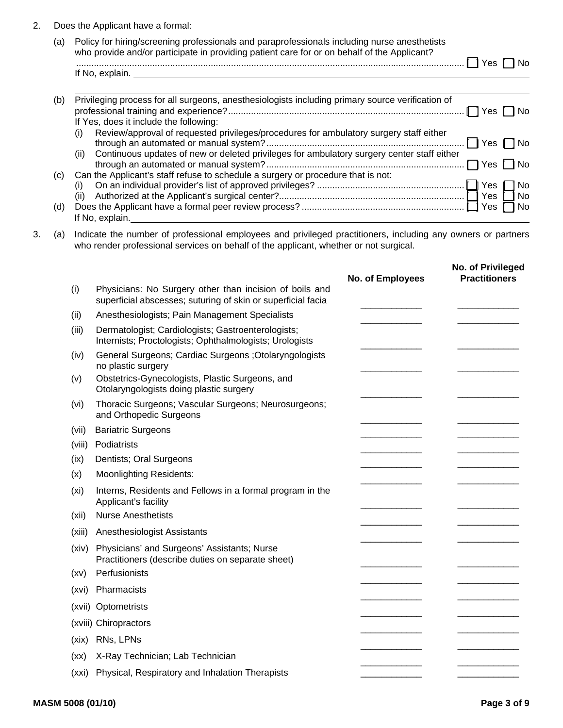## 2. Does the Applicant have a formal:

| (a) | Policy for hiring/screening professionals and paraprofessionals including nurse anesthetists<br>who provide and/or participate in providing patient care for or on behalf of the Applicant? |
|-----|---------------------------------------------------------------------------------------------------------------------------------------------------------------------------------------------|
|     | $1$ Yes $\Box$ No                                                                                                                                                                           |
|     | If No, explain.                                                                                                                                                                             |

| (b) | Privileging process for all surgeons, anesthesiologists including primary source verification of<br>l Yes |
|-----|-----------------------------------------------------------------------------------------------------------|
|     | If Yes, does it include the following:                                                                    |
|     | Review/approval of requested privileges/procedures for ambulatory surgery staff either<br>(i)             |
|     | Continuous updates of new or deleted privileges for ambulatory surgery center staff either<br>(ii)        |
| (C) | Can the Applicant's staff refuse to schedule a surgery or procedure that is not:                          |
|     | 1 No                                                                                                      |
|     |                                                                                                           |
| (d) |                                                                                                           |
|     | If No, explain.                                                                                           |

3. (a) Indicate the number of professional employees and privileged practitioners, including any owners or partners who render professional services on behalf of the applicant, whether or not surgical.

|                   |                                                                                                                         | No. of Employees | No. of Privileged<br><b>Practitioners</b> |
|-------------------|-------------------------------------------------------------------------------------------------------------------------|------------------|-------------------------------------------|
| (i)               | Physicians: No Surgery other than incision of boils and<br>superficial abscesses; suturing of skin or superficial facia |                  |                                           |
| (ii)              | Anesthesiologists; Pain Management Specialists                                                                          |                  |                                           |
| (iii)             | Dermatologist; Cardiologists; Gastroenterologists;<br>Internists; Proctologists; Ophthalmologists; Urologists           |                  |                                           |
| (iv)              | General Surgeons; Cardiac Surgeons ; Otolaryngologists<br>no plastic surgery                                            |                  |                                           |
| (v)               | Obstetrics-Gynecologists, Plastic Surgeons, and<br>Otolaryngologists doing plastic surgery                              |                  |                                           |
| (vi)              | Thoracic Surgeons; Vascular Surgeons; Neurosurgeons;<br>and Orthopedic Surgeons                                         |                  |                                           |
| (vii)             | <b>Bariatric Surgeons</b>                                                                                               |                  |                                           |
| (viii)            | Podiatrists                                                                                                             |                  |                                           |
| (ix)              | Dentists; Oral Surgeons                                                                                                 |                  |                                           |
| (x)               | <b>Moonlighting Residents:</b>                                                                                          |                  |                                           |
| (x <sub>i</sub> ) | Interns, Residents and Fellows in a formal program in the<br>Applicant's facility                                       |                  |                                           |
| (xii)             | <b>Nurse Anesthetists</b>                                                                                               |                  |                                           |
| (xiii)            | Anesthesiologist Assistants                                                                                             |                  |                                           |
| (xiv)             | Physicians' and Surgeons' Assistants; Nurse<br>Practitioners (describe duties on separate sheet)                        |                  |                                           |
| (xv)              | Perfusionists                                                                                                           |                  |                                           |
| (xvi)             | Pharmacists                                                                                                             |                  |                                           |
| (xvii)            | Optometrists                                                                                                            |                  |                                           |
|                   | (xviii) Chiropractors                                                                                                   |                  |                                           |
| (xix)             | RNs, LPNs                                                                                                               |                  |                                           |
| (xx)              | X-Ray Technician; Lab Technician                                                                                        |                  |                                           |
| (xxi)             | Physical, Respiratory and Inhalation Therapists                                                                         |                  |                                           |
|                   |                                                                                                                         |                  |                                           |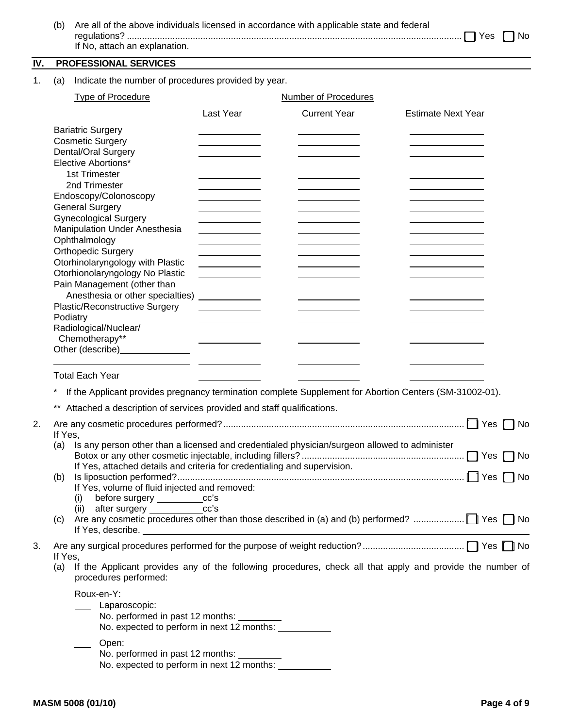| (b) Are all of the above individuals licensed in accordance with applicable state and federal |  |
|-----------------------------------------------------------------------------------------------|--|
|                                                                                               |  |
| If No, attach an explanation.                                                                 |  |
|                                                                                               |  |

# **IV. PROFESSIONAL SERVICES**

1. (a) Indicate the number of procedures provided by year.

|    | <b>Type of Procedure</b>                                                                                         |                                                                                                                      | <b>Number of Procedures</b> |                           |    |
|----|------------------------------------------------------------------------------------------------------------------|----------------------------------------------------------------------------------------------------------------------|-----------------------------|---------------------------|----|
|    |                                                                                                                  | Last Year                                                                                                            | <b>Current Year</b>         | <b>Estimate Next Year</b> |    |
|    | <b>Bariatric Surgery</b>                                                                                         |                                                                                                                      |                             |                           |    |
|    | <b>Cosmetic Surgery</b>                                                                                          |                                                                                                                      |                             |                           |    |
|    | Dental/Oral Surgery                                                                                              |                                                                                                                      |                             |                           |    |
|    | Elective Abortions*                                                                                              |                                                                                                                      |                             |                           |    |
|    | 1st Trimester                                                                                                    |                                                                                                                      |                             |                           |    |
|    | 2nd Trimester                                                                                                    |                                                                                                                      |                             |                           |    |
|    | Endoscopy/Colonoscopy                                                                                            |                                                                                                                      |                             |                           |    |
|    | <b>General Surgery</b>                                                                                           |                                                                                                                      |                             |                           |    |
|    | <b>Gynecological Surgery</b>                                                                                     |                                                                                                                      |                             |                           |    |
|    | Manipulation Under Anesthesia                                                                                    |                                                                                                                      |                             |                           |    |
|    | Ophthalmology                                                                                                    | <u> 1990 - Johann Barbara, politik eta politik eta politik eta politik eta politik eta politik eta politik eta p</u> |                             |                           |    |
|    | <b>Orthopedic Surgery</b>                                                                                        |                                                                                                                      |                             |                           |    |
|    | Otorhinolaryngology with Plastic                                                                                 |                                                                                                                      |                             |                           |    |
|    | Otorhionolaryngology No Plastic                                                                                  | <u> 1989 - Johann Barbara, martx</u><br><u> 1990 - Jan Barbara Barat, p</u>                                          |                             |                           |    |
|    | Pain Management (other than                                                                                      |                                                                                                                      |                             |                           |    |
|    | Anesthesia or other specialties)                                                                                 |                                                                                                                      |                             |                           |    |
|    | Plastic/Reconstructive Surgery                                                                                   | <u> 1990 - John Barn Barn, amerikansk politiker</u>                                                                  |                             |                           |    |
|    | Podiatry                                                                                                         |                                                                                                                      |                             |                           |    |
|    | Radiological/Nuclear/                                                                                            |                                                                                                                      |                             |                           |    |
|    | Chemotherapy**                                                                                                   |                                                                                                                      |                             |                           |    |
|    | Other (describe)________________                                                                                 |                                                                                                                      |                             |                           |    |
|    |                                                                                                                  |                                                                                                                      |                             |                           |    |
|    | <b>Total Each Year</b>                                                                                           |                                                                                                                      |                             |                           |    |
|    |                                                                                                                  |                                                                                                                      |                             |                           |    |
|    | If the Applicant provides pregnancy termination complete Supplement for Abortion Centers (SM-31002-01).          |                                                                                                                      |                             |                           |    |
|    | ** Attached a description of services provided and staff qualifications.                                         |                                                                                                                      |                             |                           |    |
|    |                                                                                                                  |                                                                                                                      |                             |                           |    |
| 2. |                                                                                                                  |                                                                                                                      |                             |                           | No |
|    | If Yes,                                                                                                          |                                                                                                                      |                             |                           |    |
|    | Is any person other than a licensed and credentialed physician/surgeon allowed to administer<br>(a)              |                                                                                                                      |                             |                           |    |
|    | If Yes, attached details and criteria for credentialing and supervision.                                         |                                                                                                                      |                             |                           |    |
|    | (b)                                                                                                              |                                                                                                                      |                             | No                        |    |
|    | If Yes, volume of fluid injected and removed:                                                                    |                                                                                                                      |                             |                           |    |
|    | (i)<br>before surgery _________                                                                                  | cc's                                                                                                                 |                             |                           |    |
|    | (ii) after surgery                                                                                               | cc's                                                                                                                 |                             |                           |    |
|    | (C).                                                                                                             |                                                                                                                      |                             |                           |    |
|    | If Yes, describe.                                                                                                |                                                                                                                      |                             |                           |    |
|    |                                                                                                                  |                                                                                                                      |                             |                           |    |
| 3. | If Yes,                                                                                                          |                                                                                                                      |                             |                           |    |
|    | If the Applicant provides any of the following procedures, check all that apply and provide the number of<br>(a) |                                                                                                                      |                             |                           |    |
|    | procedures performed:                                                                                            |                                                                                                                      |                             |                           |    |
|    |                                                                                                                  |                                                                                                                      |                             |                           |    |
|    | Roux-en-Y:                                                                                                       |                                                                                                                      |                             |                           |    |
|    | Laparoscopic:                                                                                                    |                                                                                                                      |                             |                           |    |
|    | No. performed in past 12 months:                                                                                 |                                                                                                                      |                             |                           |    |
|    | No. expected to perform in next 12 months:                                                                       |                                                                                                                      |                             |                           |    |
|    | Open:                                                                                                            |                                                                                                                      |                             |                           |    |
|    | No. performed in past 12 months:                                                                                 |                                                                                                                      |                             |                           |    |
|    | No. expected to perform in next 12 months:                                                                       |                                                                                                                      |                             |                           |    |
|    |                                                                                                                  |                                                                                                                      |                             |                           |    |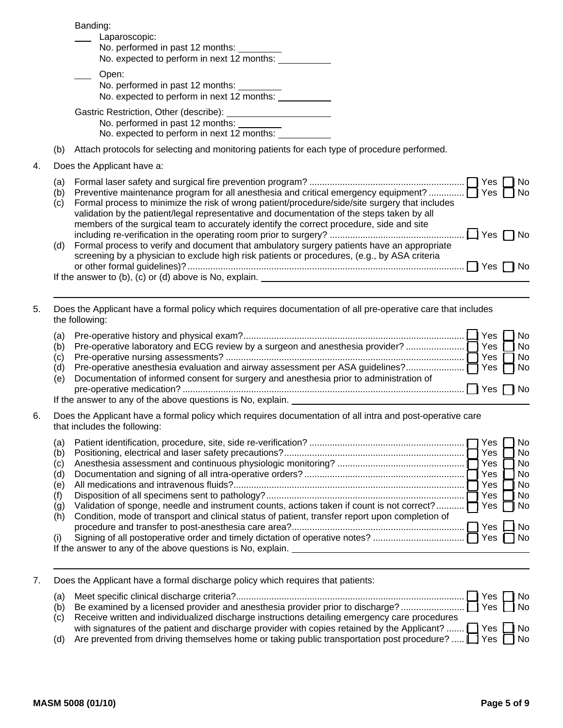|    |                   | Banding:<br>Laparoscopic:<br>No. performed in past 12 months:<br>No. expected to perform in next 12 months:                                                                                                                                                                                                                                                                                          |
|----|-------------------|------------------------------------------------------------------------------------------------------------------------------------------------------------------------------------------------------------------------------------------------------------------------------------------------------------------------------------------------------------------------------------------------------|
|    |                   | Open:<br>No. performed in past 12 months:<br>No. expected to perform in next 12 months:                                                                                                                                                                                                                                                                                                              |
|    |                   | No. performed in past 12 months:<br>No. expected to perform in next 12 months:                                                                                                                                                                                                                                                                                                                       |
|    | (b)               | Attach protocols for selecting and monitoring patients for each type of procedure performed.                                                                                                                                                                                                                                                                                                         |
| 4. |                   | Does the Applicant have a:                                                                                                                                                                                                                                                                                                                                                                           |
|    | (a)<br>(b)<br>(c) | No.<br>Preventive maintenance program for all anesthesia and critical emergency equipment?  T Yes<br>No.<br>Formal process to minimize the risk of wrong patient/procedure/side/site surgery that includes<br>validation by the patient/legal representative and documentation of the steps taken by all<br>members of the surgical team to accurately identify the correct procedure, side and site |
|    | (d)               | Formal process to verify and document that ambulatory surgery patients have an appropriate<br>screening by a physician to exclude high risk patients or procedures, (e.g., by ASA criteria<br>I IYes<br>l No<br>If the answer to $(b)$ , $(c)$ or $(d)$ above is No, explain.                                                                                                                        |

## 5. Does the Applicant have a formal policy which requires documentation of all pre-operative care that includes the following:

| (a)<br>(b)<br>(c)<br>(d) |                                                                                                                                                        | Yes      | 1 No<br>$\mathbb{F}_{\mathsf{No}}$<br>Yes $\Box$ No |
|--------------------------|--------------------------------------------------------------------------------------------------------------------------------------------------------|----------|-----------------------------------------------------|
| (e)                      | Documentation of informed consent for surgery and anesthesia prior to administration of<br>If the answer to any of the above questions is No, explain. | ΠYes ΠNo |                                                     |

6. Does the Applicant have a formal policy which requires documentation of all intra and post-operative care that includes the following:

| (a) |                                                                                                 | res   | No.  |
|-----|-------------------------------------------------------------------------------------------------|-------|------|
| (b) |                                                                                                 | Yes   | No.  |
| (C) |                                                                                                 | Yes   | l No |
| (d) |                                                                                                 | Yes   | No.  |
| (e) |                                                                                                 | Yes   | l No |
|     |                                                                                                 | Yes.  | l No |
| (g) | Validation of sponge, needle and instrument counts, actions taken if count is not correct?      | Yes   | □ No |
| (h) | Condition, mode of transport and clinical status of patient, transfer report upon completion of |       |      |
|     |                                                                                                 | Yes   | l No |
|     | Signing of all postoperative order and timely dictation of operative notes?                     | Yes I |      |
|     | If the answer to any of the above questions is No, explain.                                     |       |      |

7. Does the Applicant have a formal discharge policy which requires that patients:

| (a) |                                                                                                                   | I Yes ∏ No |              |
|-----|-------------------------------------------------------------------------------------------------------------------|------------|--------------|
| (b) |                                                                                                                   |            |              |
|     | (c) Receive written and individualized discharge instructions detailing emergency care procedures                 |            |              |
|     | with signatures of the patient and discharge provider with copies retained by the Applicant? $\Box$ Yes $\Box$ No |            |              |
| (d) | Are prevented from driving themselves home or taking public transportation post procedure?  [1] Yes [             |            | $\bigcap$ No |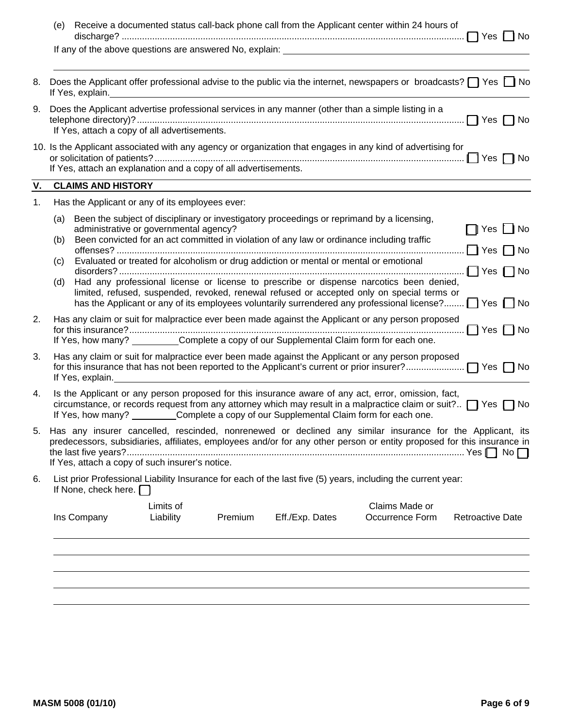|    | Receive a documented status call-back phone call from the Applicant center within 24 hours of<br>(e)<br>Yes  <br><b>No</b>                                                                                                                                                                                                                                                                                                                                                                                                                                                                                                                                                                                        |
|----|-------------------------------------------------------------------------------------------------------------------------------------------------------------------------------------------------------------------------------------------------------------------------------------------------------------------------------------------------------------------------------------------------------------------------------------------------------------------------------------------------------------------------------------------------------------------------------------------------------------------------------------------------------------------------------------------------------------------|
|    | If any of the above questions are answered No, explain: <b>Family 2016</b> 2017 12:20 20:20                                                                                                                                                                                                                                                                                                                                                                                                                                                                                                                                                                                                                       |
| 8. | Does the Applicant offer professional advise to the public via the internet, newspapers or broadcasts? $\Box$ Yes $\Box$ No<br>If Yes, explain.                                                                                                                                                                                                                                                                                                                                                                                                                                                                                                                                                                   |
| 9. | Does the Applicant advertise professional services in any manner (other than a simple listing in a<br>Yes   INo<br>If Yes, attach a copy of all advertisements.                                                                                                                                                                                                                                                                                                                                                                                                                                                                                                                                                   |
|    | 10. Is the Applicant associated with any agency or organization that engages in any kind of advertising for<br>Yes [<br>– I No<br>If Yes, attach an explanation and a copy of all advertisements.                                                                                                                                                                                                                                                                                                                                                                                                                                                                                                                 |
| V. | <b>CLAIMS AND HISTORY</b>                                                                                                                                                                                                                                                                                                                                                                                                                                                                                                                                                                                                                                                                                         |
| 1. | Has the Applicant or any of its employees ever:                                                                                                                                                                                                                                                                                                                                                                                                                                                                                                                                                                                                                                                                   |
|    | Been the subject of disciplinary or investigatory proceedings or reprimand by a licensing,<br>(a)<br>administrative or governmental agency?<br>□ Yes ∐ No<br>Been convicted for an act committed in violation of any law or ordinance including traffic<br>(b)<br>Yes [<br><b>No</b><br>Evaluated or treated for alcoholism or drug addiction or mental or mental or emotional<br>(c)<br>$\Box$ Yes $\Box$ No<br>Had any professional license or license to prescribe or dispense narcotics been denied,<br>(d)<br>limited, refused, suspended, revoked, renewal refused or accepted only on special terms or<br>has the Applicant or any of its employees voluntarily surrendered any professional license? TYes |
| 2. | Has any claim or suit for malpractice ever been made against the Applicant or any person proposed<br>$\Box$ Yes $\Box$ No<br>If Yes, how many? __________Complete a copy of our Supplemental Claim form for each one.                                                                                                                                                                                                                                                                                                                                                                                                                                                                                             |
| 3. | Has any claim or suit for malpractice ever been made against the Applicant or any person proposed<br>If Yes, explain.                                                                                                                                                                                                                                                                                                                                                                                                                                                                                                                                                                                             |
| 4. | Is the Applicant or any person proposed for this insurance aware of any act, error, omission, fact,<br>circumstance, or records request from any attorney which may result in a malpractice claim or suit? $\Box$ Yes $\Box$ No<br>If Yes, how many? _________Complete a copy of our Supplemental Claim form for each one.                                                                                                                                                                                                                                                                                                                                                                                        |
| 5. | Has any insurer cancelled, rescinded, nonrenewed or declined any similar insurance for the Applicant, its<br>predecessors, subsidiaries, affiliates, employees and/or for any other person or entity proposed for this insurance in<br>If Yes, attach a copy of such insurer's notice.                                                                                                                                                                                                                                                                                                                                                                                                                            |
| 6. | List prior Professional Liability Insurance for each of the last five (5) years, including the current year:<br>If None, check here. $\Box$                                                                                                                                                                                                                                                                                                                                                                                                                                                                                                                                                                       |
|    | Limits of<br>Claims Made or<br>Ins Company<br>Liability<br>Premium<br>Eff./Exp. Dates<br>Occurrence Form<br><b>Retroactive Date</b>                                                                                                                                                                                                                                                                                                                                                                                                                                                                                                                                                                               |
|    |                                                                                                                                                                                                                                                                                                                                                                                                                                                                                                                                                                                                                                                                                                                   |
|    |                                                                                                                                                                                                                                                                                                                                                                                                                                                                                                                                                                                                                                                                                                                   |
|    |                                                                                                                                                                                                                                                                                                                                                                                                                                                                                                                                                                                                                                                                                                                   |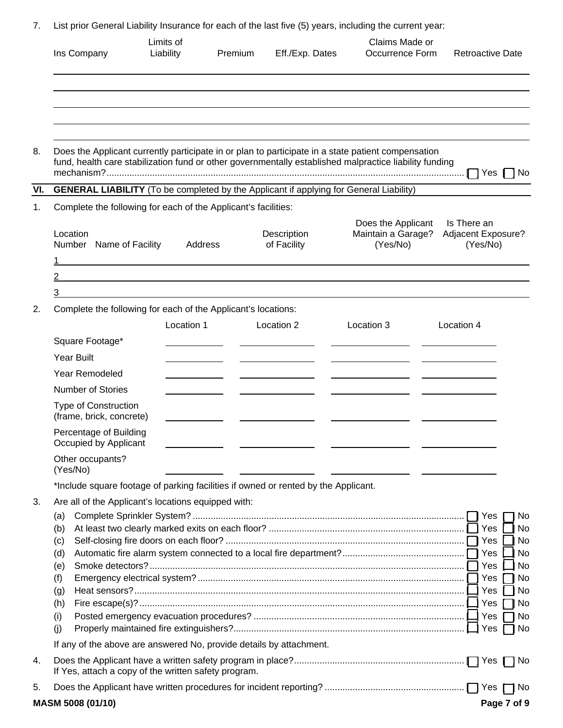|  | List prior General Liability Insurance for each of the last five (5) years, including the current year: |  |  |  |  |  |  |
|--|---------------------------------------------------------------------------------------------------------|--|--|--|--|--|--|
|--|---------------------------------------------------------------------------------------------------------|--|--|--|--|--|--|

|     | Ins Company                                                                                   | Limits of<br>Liability                                                                                                           | Premium | Eff./Exp. Dates            | Claims Made or<br>Occurrence Form                                                                                                                                                                            | <b>Retroactive Date</b>                                         |  |  |  |
|-----|-----------------------------------------------------------------------------------------------|----------------------------------------------------------------------------------------------------------------------------------|---------|----------------------------|--------------------------------------------------------------------------------------------------------------------------------------------------------------------------------------------------------------|-----------------------------------------------------------------|--|--|--|
|     |                                                                                               |                                                                                                                                  |         |                            |                                                                                                                                                                                                              |                                                                 |  |  |  |
| 8.  |                                                                                               |                                                                                                                                  |         |                            | Does the Applicant currently participate in or plan to participate in a state patient compensation<br>fund, health care stabilization fund or other governmentally established malpractice liability funding | $\Box$ Yes 1<br>No                                              |  |  |  |
| VI. | <b>GENERAL LIABILITY</b> (To be completed by the Applicant if applying for General Liability) |                                                                                                                                  |         |                            |                                                                                                                                                                                                              |                                                                 |  |  |  |
| 1.  | Complete the following for each of the Applicant's facilities:                                |                                                                                                                                  |         |                            |                                                                                                                                                                                                              |                                                                 |  |  |  |
|     | Location<br>Number Name of Facility                                                           | Address<br><u> 1989 - Johann Stoff, deutscher Stoff, der Stoff, der Stoff, der Stoff, der Stoff, der Stoff, der Stoff, der S</u> |         | Description<br>of Facility | Does the Applicant<br>Maintain a Garage?<br>(Yes/No)                                                                                                                                                         | Is There an<br>Adjacent Exposure?<br>(Yes/No)                   |  |  |  |
|     | 2                                                                                             |                                                                                                                                  |         |                            |                                                                                                                                                                                                              |                                                                 |  |  |  |
|     | 3                                                                                             |                                                                                                                                  |         |                            |                                                                                                                                                                                                              |                                                                 |  |  |  |
| 2.  | Complete the following for each of the Applicant's locations:                                 | Location 1                                                                                                                       |         | Location 2                 | Location 3                                                                                                                                                                                                   | Location 4                                                      |  |  |  |
|     | Square Footage*                                                                               |                                                                                                                                  |         |                            |                                                                                                                                                                                                              |                                                                 |  |  |  |
|     | <b>Year Built</b>                                                                             |                                                                                                                                  |         |                            |                                                                                                                                                                                                              |                                                                 |  |  |  |
|     | Year Remodeled                                                                                |                                                                                                                                  |         |                            |                                                                                                                                                                                                              |                                                                 |  |  |  |
|     | <b>Number of Stories</b>                                                                      |                                                                                                                                  |         |                            |                                                                                                                                                                                                              |                                                                 |  |  |  |
|     | Type of Construction<br>(frame, brick, concrete)                                              |                                                                                                                                  |         |                            |                                                                                                                                                                                                              |                                                                 |  |  |  |
|     | Percentage of Building<br>Occupied by Applicant                                               |                                                                                                                                  |         |                            |                                                                                                                                                                                                              |                                                                 |  |  |  |
|     | Other occupants?<br>(Yes/No)                                                                  |                                                                                                                                  |         |                            |                                                                                                                                                                                                              |                                                                 |  |  |  |
|     | *Include square footage of parking facilities if owned or rented by the Applicant.            |                                                                                                                                  |         |                            |                                                                                                                                                                                                              |                                                                 |  |  |  |
| 3.  | Are all of the Applicant's locations equipped with:<br>(a)<br>(b)<br>(c)<br>(d)<br>(e)        |                                                                                                                                  |         |                            |                                                                                                                                                                                                              | No<br>No<br>No<br>No<br>No                                      |  |  |  |
|     | (f)<br>(g)<br>(h)<br>(i)<br>(i)                                                               |                                                                                                                                  |         |                            |                                                                                                                                                                                                              | Yes<br>No<br>Yes<br>No<br>No<br>Yes<br>Yes<br>No<br>  Yes<br>No |  |  |  |
|     | If any of the above are answered No, provide details by attachment.                           |                                                                                                                                  |         |                            |                                                                                                                                                                                                              |                                                                 |  |  |  |
| 4.  | If Yes, attach a copy of the written safety program.                                          |                                                                                                                                  |         |                            |                                                                                                                                                                                                              | ∣No                                                             |  |  |  |
| 5.  |                                                                                               |                                                                                                                                  |         |                            |                                                                                                                                                                                                              | No                                                              |  |  |  |
|     | MASM 5008 (01/10)                                                                             |                                                                                                                                  |         |                            |                                                                                                                                                                                                              | Page 7 of 9                                                     |  |  |  |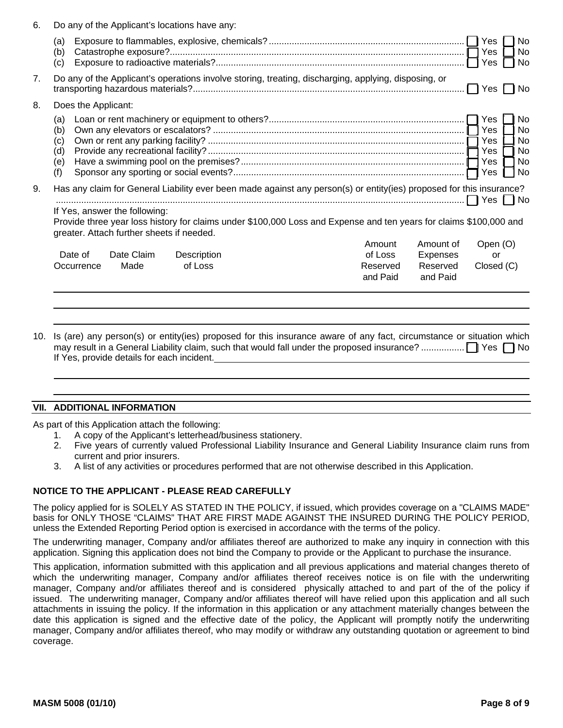| 6.<br>Do any of the Applicant's locations have any: |                                                                                                                                                                                                                                     |                     |             |  |  |                      |                      |                                 |                                                       |
|-----------------------------------------------------|-------------------------------------------------------------------------------------------------------------------------------------------------------------------------------------------------------------------------------------|---------------------|-------------|--|--|----------------------|----------------------|---------------------------------|-------------------------------------------------------|
|                                                     | (a)<br>(b)<br>(c)                                                                                                                                                                                                                   |                     |             |  |  |                      |                      | Yes<br>Yes                      | <b>No</b><br>No<br>No                                 |
| 7 <sub>1</sub>                                      | Do any of the Applicant's operations involve storing, treating, discharging, applying, disposing, or<br>l Yes                                                                                                                       |                     |             |  |  |                      |                      |                                 | l No                                                  |
| 8.                                                  |                                                                                                                                                                                                                                     | Does the Applicant: |             |  |  |                      |                      |                                 |                                                       |
|                                                     | (a)<br>(b)<br>(c)<br>(d)<br>(e)<br>(f)                                                                                                                                                                                              |                     |             |  |  |                      |                      | Yes<br>Yes<br>Yes<br>Yes<br>Yes | <b>No</b><br><b>No</b><br><b>No</b><br>No<br>No<br>No |
| 9.                                                  | Has any claim for General Liability ever been made against any person(s) or entity(ies) proposed for this insurance?                                                                                                                |                     |             |  |  |                      |                      |                                 |                                                       |
|                                                     | If Yes, answer the following:<br>Provide three year loss history for claims under \$100,000 Loss and Expense and ten years for claims \$100,000 and<br>greater. Attach further sheets if needed.<br>Open (O)<br>Amount<br>Amount of |                     |             |  |  |                      |                      |                                 |                                                       |
|                                                     | Date of                                                                                                                                                                                                                             | Date Claim          | Description |  |  | of Loss              | Expenses             | or                              |                                                       |
|                                                     | Occurrence                                                                                                                                                                                                                          | Made                | of Loss     |  |  | Reserved<br>and Paid | Reserved<br>and Paid | Closed (C)                      |                                                       |
|                                                     |                                                                                                                                                                                                                                     |                     |             |  |  |                      |                      |                                 |                                                       |

10. Is (are) any person(s) or entity(ies) proposed for this insurance aware of any fact, circumstance or situation which may result in a General Liability claim, such that would fall under the proposed insurance? ................. [ ] Yes [ ] No If Yes, provide details for each incident.

#### **VII. ADDITIONAL INFORMATION**

As part of this Application attach the following:

- 1. A copy of the Applicant's letterhead/business stationery.
- 2. Five years of currently valued Professional Liability Insurance and General Liability Insurance claim runs from current and prior insurers.
- 3. A list of any activities or procedures performed that are not otherwise described in this Application.

#### **NOTICE TO THE APPLICANT - PLEASE READ CAREFULLY**

The policy applied for is SOLELY AS STATED IN THE POLICY, if issued, which provides coverage on a "CLAIMS MADE" basis for ONLY THOSE "CLAIMS" THAT ARE FIRST MADE AGAINST THE INSURED DURING THE POLICY PERIOD, unless the Extended Reporting Period option is exercised in accordance with the terms of the policy.

The underwriting manager, Company and/or affiliates thereof are authorized to make any inquiry in connection with this application. Signing this application does not bind the Company to provide or the Applicant to purchase the insurance.

This application, information submitted with this application and all previous applications and material changes thereto of which the underwriting manager, Company and/or affiliates thereof receives notice is on file with the underwriting manager, Company and/or affiliates thereof and is considered physically attached to and part of the of the policy if issued. The underwriting manager, Company and/or affiliates thereof will have relied upon this application and all such attachments in issuing the policy. If the information in this application or any attachment materially changes between the date this application is signed and the effective date of the policy, the Applicant will promptly notify the underwriting manager, Company and/or affiliates thereof, who may modify or withdraw any outstanding quotation or agreement to bind coverage.